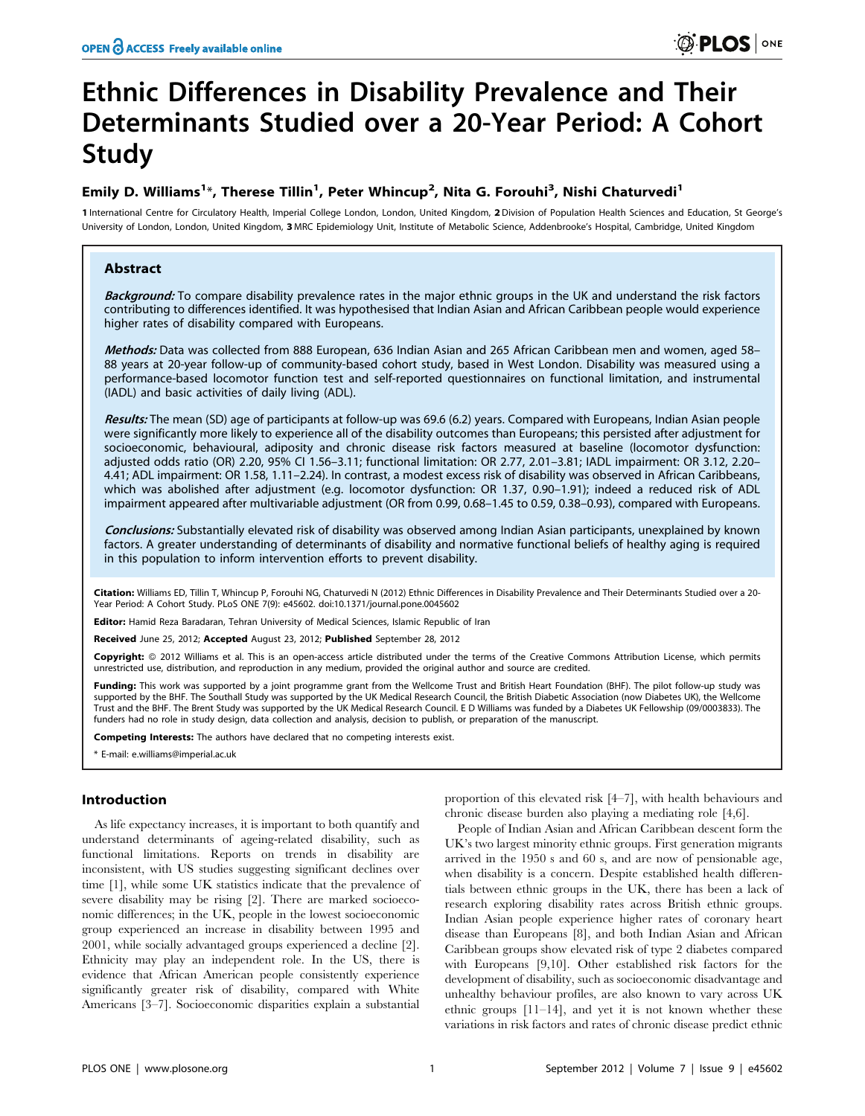# Ethnic Differences in Disability Prevalence and Their Determinants Studied over a 20-Year Period: A Cohort Study

# Emily D. Williams<sup>1\*</sup>, Therese Tillin<sup>1</sup>, Peter Whincup<sup>2</sup>, Nita G. Forouhi<sup>3</sup>, Nishi Chaturvedi<sup>1</sup>

1 International Centre for Circulatory Health, Imperial College London, London, United Kingdom, 2Division of Population Health Sciences and Education, St George's University of London, London, United Kingdom, 3 MRC Epidemiology Unit, Institute of Metabolic Science, Addenbrooke's Hospital, Cambridge, United Kingdom

### Abstract

Background: To compare disability prevalence rates in the major ethnic groups in the UK and understand the risk factors contributing to differences identified. It was hypothesised that Indian Asian and African Caribbean people would experience higher rates of disability compared with Europeans.

Methods: Data was collected from 888 European, 636 Indian Asian and 265 African Caribbean men and women, aged 58– 88 years at 20-year follow-up of community-based cohort study, based in West London. Disability was measured using a performance-based locomotor function test and self-reported questionnaires on functional limitation, and instrumental (IADL) and basic activities of daily living (ADL).

Results: The mean (SD) age of participants at follow-up was 69.6 (6.2) years. Compared with Europeans, Indian Asian people were significantly more likely to experience all of the disability outcomes than Europeans; this persisted after adjustment for socioeconomic, behavioural, adiposity and chronic disease risk factors measured at baseline (locomotor dysfunction: adjusted odds ratio (OR) 2.20, 95% CI 1.56–3.11; functional limitation: OR 2.77, 2.01–3.81; IADL impairment: OR 3.12, 2.20– 4.41; ADL impairment: OR 1.58, 1.11–2.24). In contrast, a modest excess risk of disability was observed in African Caribbeans, which was abolished after adjustment (e.g. locomotor dysfunction: OR 1.37, 0.90–1.91); indeed a reduced risk of ADL impairment appeared after multivariable adjustment (OR from 0.99, 0.68–1.45 to 0.59, 0.38–0.93), compared with Europeans.

Conclusions: Substantially elevated risk of disability was observed among Indian Asian participants, unexplained by known factors. A greater understanding of determinants of disability and normative functional beliefs of healthy aging is required in this population to inform intervention efforts to prevent disability.

Citation: Williams ED, Tillin T, Whincup P, Forouhi NG, Chaturvedi N (2012) Ethnic Differences in Disability Prevalence and Their Determinants Studied over a 20- Year Period: A Cohort Study. PLoS ONE 7(9): e45602. doi:10.1371/journal.pone.0045602

Editor: Hamid Reza Baradaran, Tehran University of Medical Sciences, Islamic Republic of Iran

Received June 25, 2012; Accepted August 23, 2012; Published September 28, 2012

Copyright: © 2012 Williams et al. This is an open-access article distributed under the terms of the Creative Commons Attribution License, which permits unrestricted use, distribution, and reproduction in any medium, provided the original author and source are credited.

Funding: This work was supported by a joint programme grant from the Wellcome Trust and British Heart Foundation (BHF). The pilot follow-up study was supported by the BHF. The Southall Study was supported by the UK Medical Research Council, the British Diabetic Association (now Diabetes UK), the Wellcome Trust and the BHF. The Brent Study was supported by the UK Medical Research Council. E D Williams was funded by a Diabetes UK Fellowship (09/0003833). The funders had no role in study design, data collection and analysis, decision to publish, or preparation of the manuscript.

Competing Interests: The authors have declared that no competing interests exist.

\* E-mail: e.williams@imperial.ac.uk

#### Introduction

As life expectancy increases, it is important to both quantify and understand determinants of ageing-related disability, such as functional limitations. Reports on trends in disability are inconsistent, with US studies suggesting significant declines over time [1], while some UK statistics indicate that the prevalence of severe disability may be rising [2]. There are marked socioeconomic differences; in the UK, people in the lowest socioeconomic group experienced an increase in disability between 1995 and 2001, while socially advantaged groups experienced a decline [2]. Ethnicity may play an independent role. In the US, there is evidence that African American people consistently experience significantly greater risk of disability, compared with White Americans [3–7]. Socioeconomic disparities explain a substantial

proportion of this elevated risk [4–7], with health behaviours and chronic disease burden also playing a mediating role [4,6].

People of Indian Asian and African Caribbean descent form the UK's two largest minority ethnic groups. First generation migrants arrived in the 1950 s and 60 s, and are now of pensionable age, when disability is a concern. Despite established health differentials between ethnic groups in the UK, there has been a lack of research exploring disability rates across British ethnic groups. Indian Asian people experience higher rates of coronary heart disease than Europeans [8], and both Indian Asian and African Caribbean groups show elevated risk of type 2 diabetes compared with Europeans [9,10]. Other established risk factors for the development of disability, such as socioeconomic disadvantage and unhealthy behaviour profiles, are also known to vary across UK ethnic groups [11–14], and yet it is not known whether these variations in risk factors and rates of chronic disease predict ethnic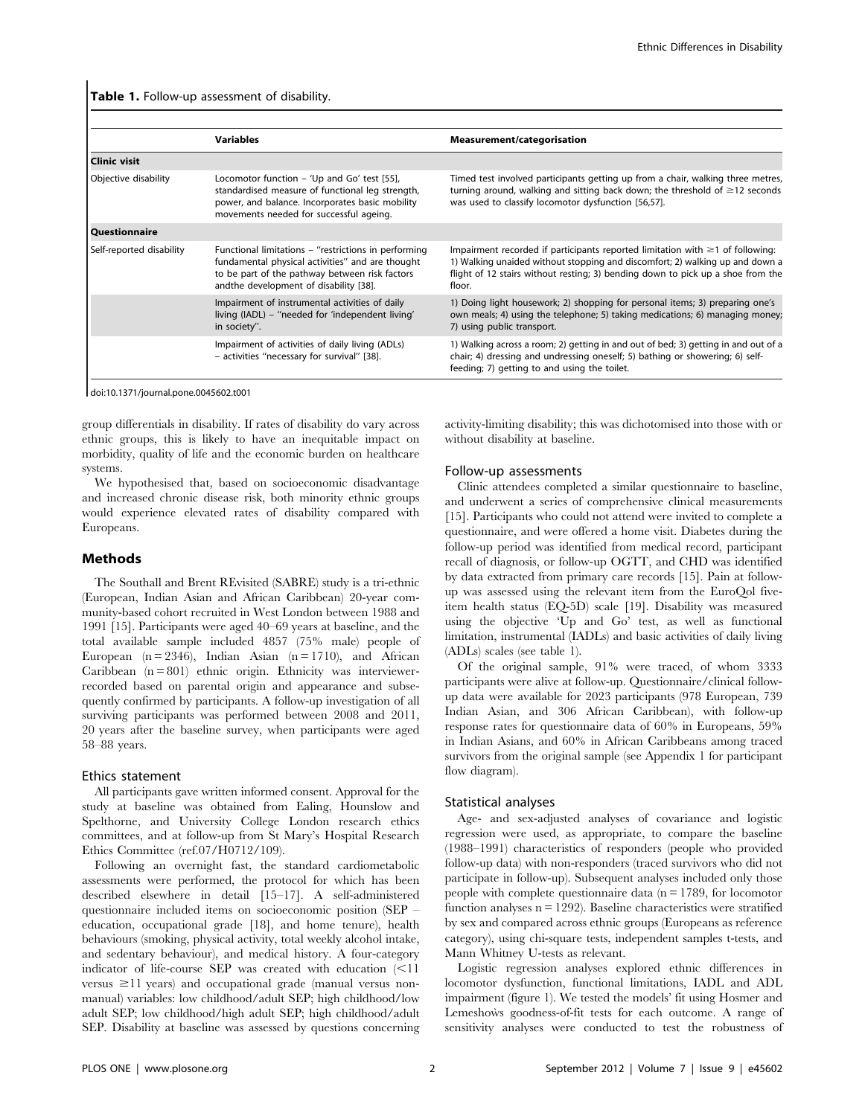Table 1. Follow-up assessment of disability.

| <b>Variables</b>                                                                                                                                                                                     | <b>Measurement/categorisation</b>                                                                                                                                                                                                                                |
|------------------------------------------------------------------------------------------------------------------------------------------------------------------------------------------------------|------------------------------------------------------------------------------------------------------------------------------------------------------------------------------------------------------------------------------------------------------------------|
|                                                                                                                                                                                                      |                                                                                                                                                                                                                                                                  |
| Locomotor function – 'Up and Go' test [55],<br>standardised measure of functional leg strength,<br>power, and balance. Incorporates basic mobility<br>movements needed for successful ageing.        | Timed test involved participants getting up from a chair, walking three metres,<br>turning around, walking and sitting back down; the threshold of $\geq$ 12 seconds<br>was used to classify locomotor dysfunction [56,57].                                      |
|                                                                                                                                                                                                      |                                                                                                                                                                                                                                                                  |
| Functional limitations - "restrictions in performing<br>fundamental physical activities" and are thought<br>to be part of the pathway between risk factors<br>andthe development of disability [38]. | Impairment recorded if participants reported limitation with $\geq 1$ of following:<br>1) Walking unaided without stopping and discomfort; 2) walking up and down a<br>flight of 12 stairs without resting; 3) bending down to pick up a shoe from the<br>floor. |
| Impairment of instrumental activities of daily<br>living (IADL) - "needed for 'independent living'<br>in society".                                                                                   | 1) Doing light housework; 2) shopping for personal items; 3) preparing one's<br>own meals; 4) using the telephone; 5) taking medications; 6) managing money;<br>7) using public transport.                                                                       |
| Impairment of activities of daily living (ADLs)<br>- activities "necessary for survival" [38].                                                                                                       | 1) Walking across a room; 2) getting in and out of bed; 3) getting in and out of a<br>chair; 4) dressing and undressing oneself; 5) bathing or showering; 6) self-<br>feeding; 7) getting to and using the toilet.                                               |
|                                                                                                                                                                                                      |                                                                                                                                                                                                                                                                  |

doi:10.1371/journal.pone.0045602.t001

group differentials in disability. If rates of disability do vary across ethnic groups, this is likely to have an inequitable impact on morbidity, quality of life and the economic burden on healthcare systems.

We hypothesised that, based on socioeconomic disadvantage and increased chronic disease risk, both minority ethnic groups would experience elevated rates of disability compared with Europeans.

#### Methods

The Southall and Brent REvisited (SABRE) study is a tri-ethnic (European, Indian Asian and African Caribbean) 20-year community-based cohort recruited in West London between 1988 and 1991 [15]. Participants were aged 40–69 years at baseline, and the total available sample included 4857 (75% male) people of European  $(n = 2346)$ , Indian Asian  $(n = 1710)$ , and African Caribbean  $(n = 801)$  ethnic origin. Ethnicity was interviewerrecorded based on parental origin and appearance and subsequently confirmed by participants. A follow-up investigation of all surviving participants was performed between 2008 and 2011, 20 years after the baseline survey, when participants were aged 58–88 years.

#### Ethics statement

All participants gave written informed consent. Approval for the study at baseline was obtained from Ealing, Hounslow and Spelthorne, and University College London research ethics committees, and at follow-up from St Mary's Hospital Research Ethics Committee (ref.07/H0712/109).

Following an overnight fast, the standard cardiometabolic assessments were performed, the protocol for which has been described elsewhere in detail [15–17]. A self-administered questionnaire included items on socioeconomic position (SEP – education, occupational grade [18], and home tenure), health behaviours (smoking, physical activity, total weekly alcohol intake, and sedentary behaviour), and medical history. A four-category indicator of life-course SEP was created with education  $\leq 11$ versus  $\geq$ 11 years) and occupational grade (manual versus nonmanual) variables: low childhood/adult SEP; high childhood/low adult SEP; low childhood/high adult SEP; high childhood/adult SEP. Disability at baseline was assessed by questions concerning activity-limiting disability; this was dichotomised into those with or without disability at baseline.

#### Follow-up assessments

Clinic attendees completed a similar questionnaire to baseline, and underwent a series of comprehensive clinical measurements [15]. Participants who could not attend were invited to complete a questionnaire, and were offered a home visit. Diabetes during the follow-up period was identified from medical record, participant recall of diagnosis, or follow-up OGTT, and CHD was identified by data extracted from primary care records [15]. Pain at followup was assessed using the relevant item from the EuroQol fiveitem health status (EQ-5D) scale [19]. Disability was measured using the objective 'Up and Go' test, as well as functional limitation, instrumental (IADLs) and basic activities of daily living (ADLs) scales (see table 1).

Of the original sample, 91% were traced, of whom 3333 participants were alive at follow-up. Questionnaire/clinical followup data were available for 2023 participants (978 European, 739 Indian Asian, and 306 African Caribbean), with follow-up response rates for questionnaire data of 60% in Europeans, 59% in Indian Asians, and 60% in African Caribbeans among traced survivors from the original sample (see Appendix 1 for participant flow diagram).

#### Statistical analyses

Age- and sex-adjusted analyses of covariance and logistic regression were used, as appropriate, to compare the baseline (1988–1991) characteristics of responders (people who provided follow-up data) with non-responders (traced survivors who did not participate in follow-up). Subsequent analyses included only those people with complete questionnaire data ( $n = 1789$ , for locomotor function analyses  $n = 1292$ ). Baseline characteristics were stratified by sex and compared across ethnic groups (Europeans as reference category), using chi-square tests, independent samples t-tests, and Mann Whitney U-tests as relevant.

Logistic regression analyses explored ethnic differences in locomotor dysfunction, functional limitations, IADL and ADL impairment (figure 1). We tested the models' fit using Hosmer and Lemeshows goodness-of-fit tests for each outcome. A range of sensitivity analyses were conducted to test the robustness of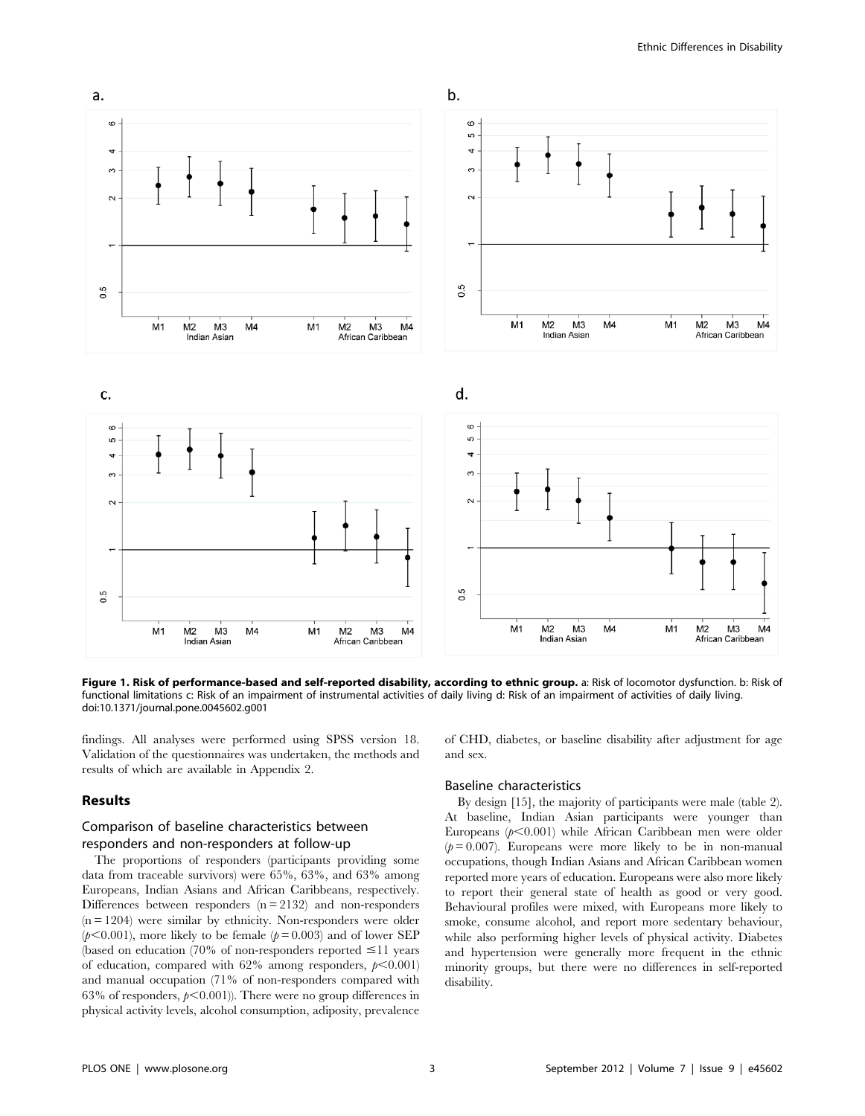

Figure 1. Risk of performance-based and self-reported disability, according to ethnic group. a: Risk of locomotor dysfunction. b: Risk of functional limitations c: Risk of an impairment of instrumental activities of daily living d: Risk of an impairment of activities of daily living. doi:10.1371/journal.pone.0045602.g001

findings. All analyses were performed using SPSS version 18. Validation of the questionnaires was undertaken, the methods and results of which are available in Appendix 2.

#### Results

## Comparison of baseline characteristics between responders and non-responders at follow-up

The proportions of responders (participants providing some data from traceable survivors) were 65%, 63%, and 63% among Europeans, Indian Asians and African Caribbeans, respectively. Differences between responders  $(n = 2132)$  and non-responders (n = 1204) were similar by ethnicity. Non-responders were older  $(p<0.001)$ , more likely to be female  $(p=0.003)$  and of lower SEP (based on education (70% of non-responders reported  $\leq$ 11 years of education, compared with  $62\%$  among responders,  $p<0.001$ ) and manual occupation (71% of non-responders compared with 63% of responders,  $p<0.001$ )). There were no group differences in physical activity levels, alcohol consumption, adiposity, prevalence

of CHD, diabetes, or baseline disability after adjustment for age and sex.

#### Baseline characteristics

By design [15], the majority of participants were male (table 2). At baseline, Indian Asian participants were younger than Europeans ( $p<0.001$ ) while African Caribbean men were older  $(p= 0.007)$ . Europeans were more likely to be in non-manual occupations, though Indian Asians and African Caribbean women reported more years of education. Europeans were also more likely to report their general state of health as good or very good. Behavioural profiles were mixed, with Europeans more likely to smoke, consume alcohol, and report more sedentary behaviour, while also performing higher levels of physical activity. Diabetes and hypertension were generally more frequent in the ethnic minority groups, but there were no differences in self-reported disability.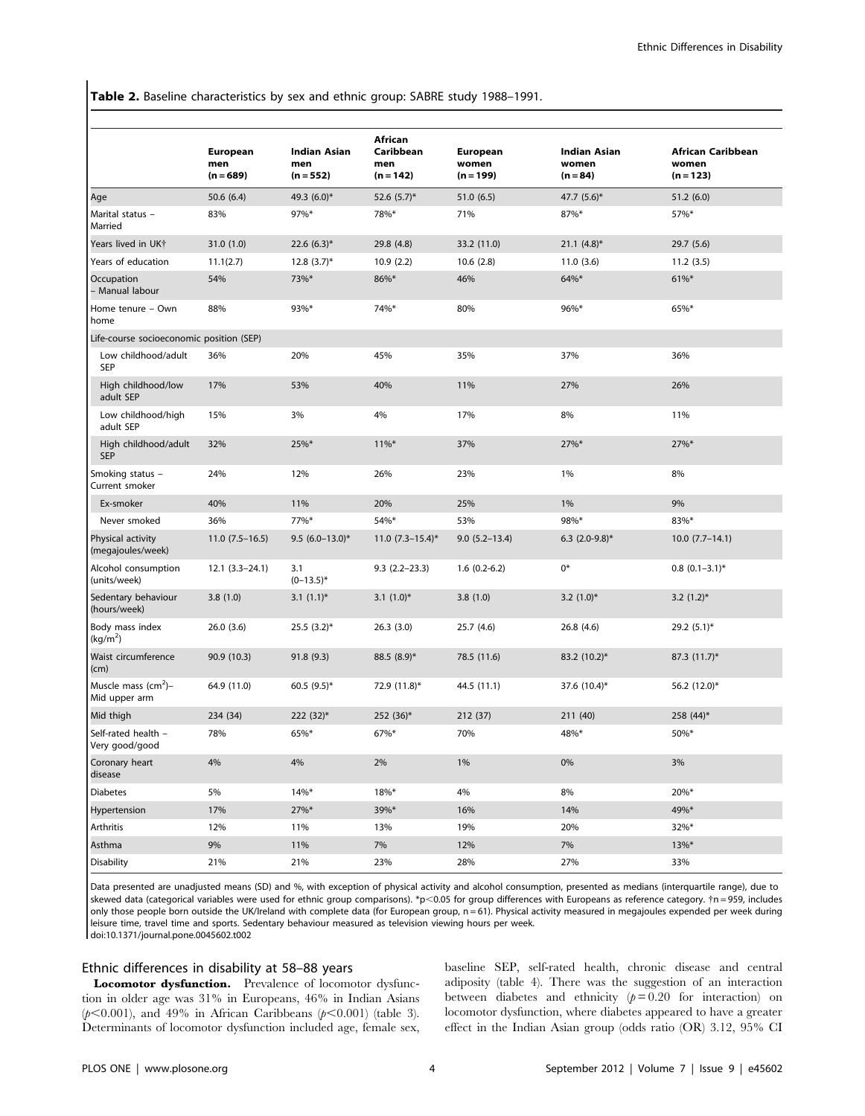Table 2. Baseline characteristics by sex and ethnic group: SABRE study 1988–1991.

|                                          | <b>European</b><br>men<br>$(n = 689)$ | <b>Indian Asian</b><br>men<br>$(n = 552)$ | African<br>Caribbean<br>men<br>$(n = 142)$ | <b>European</b><br>women<br>$(n = 199)$ | <b>Indian Asian</b><br>women<br>$(n = 84)$ | <b>African Caribbean</b><br>women<br>$(n = 123)$ |
|------------------------------------------|---------------------------------------|-------------------------------------------|--------------------------------------------|-----------------------------------------|--------------------------------------------|--------------------------------------------------|
| Age                                      | 50.6 (6.4)                            | 49.3 (6.0)*                               | 52.6 $(5.7)^*$                             | 51.0(6.5)                               | 47.7 (5.6)*                                | 51.2(6.0)                                        |
| Marital status -<br>Married              | 83%                                   | 97%*                                      | 78%*                                       | 71%                                     | 87%*                                       | 57%*                                             |
| Years lived in UKt                       | 31.0 (1.0)                            | 22.6 $(6.3)^*$                            | 29.8 (4.8)                                 | 33.2 (11.0)                             | $21.1 (4.8)^*$                             | 29.7 (5.6)                                       |
| Years of education                       | 11.1(2.7)                             | $12.8(3.7)^{*}$                           | 10.9(2.2)                                  | 10.6(2.8)                               | 11.0(3.6)                                  | 11.2(3.5)                                        |
| Occupation<br>- Manual labour            | 54%                                   | 73%*                                      | 86%*                                       | 46%                                     | 64%*                                       | $61\%$ *                                         |
| Home tenure - Own<br>home                | 88%                                   | 93%*                                      | 74%*                                       | 80%                                     | 96%*                                       | 65%*                                             |
| Life-course socioeconomic position (SEP) |                                       |                                           |                                            |                                         |                                            |                                                  |
| Low childhood/adult<br><b>SEP</b>        | 36%                                   | 20%                                       | 45%                                        | 35%                                     | 37%                                        | 36%                                              |
| High childhood/low<br>adult SEP          | 17%                                   | 53%                                       | 40%                                        | 11%                                     | 27%                                        | 26%                                              |
| Low childhood/high<br>adult SEP          | 15%                                   | 3%                                        | 4%                                         | 17%                                     | 8%                                         | 11%                                              |
| High childhood/adult<br><b>SEP</b>       | 32%                                   | 25%*                                      | $11\%*$                                    | 37%                                     | 27%*                                       | 27%*                                             |
| Smoking status -<br>Current smoker       | 24%                                   | 12%                                       | 26%                                        | 23%                                     | 1%                                         | 8%                                               |
| Ex-smoker                                | 40%                                   | 11%                                       | 20%                                        | 25%                                     | 1%                                         | 9%                                               |
| Never smoked                             | 36%                                   | 77%*                                      | 54%*                                       | 53%                                     | 98%*                                       | 83%*                                             |
| Physical activity<br>(megajoules/week)   | $11.0(7.5-16.5)$                      | 9.5 $(6.0-13.0)$ *                        | $11.0 (7.3 - 15.4)^*$                      | $9.0(5.2 - 13.4)$                       | 6.3 $(2.0-9.8)$ *                          | $10.0$ $(7.7-14.1)$                              |
| Alcohol consumption<br>(units/week)      | $12.1 (3.3 - 24.1)$                   | 3.1<br>$(0-13.5)^*$                       | $9.3(2.2 - 23.3)$                          | $1.6(0.2-6.2)$                          | 0*                                         | $0.8$ $(0.1 - 3.1)^*$                            |
| Sedentary behaviour<br>(hours/week)      | 3.8(1.0)                              | 3.1 $(1.1)^*$                             | 3.1 $(1.0)^*$                              | 3.8(1.0)                                | 3.2 $(1.0)^*$                              | 3.2 $(1.2)^*$                                    |
| Body mass index<br>(kg/m <sup>2</sup> )  | 26.0 (3.6)                            | $25.5(3.2)^{*}$                           | 26.3(3.0)                                  | 25.7 (4.6)                              | 26.8(4.6)                                  | $29.2(5.1)$ *                                    |
| Waist circumference<br>(cm)              | 90.9 (10.3)                           | 91.8(9.3)                                 | $88.5(8.9)$ *                              | 78.5 (11.6)                             | 83.2 (10.2)*                               | $87.3(11.7)^*$                                   |
| Muscle mass $(cm^2)$ -<br>Mid upper arm  | 64.9 (11.0)                           | 60.5 $(9.5)^*$                            | 72.9 (11.8)*                               | 44.5 (11.1)                             | 37.6 (10.4)*                               | 56.2 (12.0)*                                     |
| Mid thigh                                | 234 (34)                              | $222(32)^*$                               | 252 (36)*                                  | 212 (37)                                | 211 (40)                                   | 258 $(44)^*$                                     |
| Self-rated health -<br>Very good/good    | 78%                                   | 65%*                                      | 67%*                                       | 70%                                     | 48%*                                       | 50%*                                             |
| Coronary heart<br>disease                | 4%                                    | 4%                                        | 2%                                         | 1%                                      | 0%                                         | 3%                                               |
| <b>Diabetes</b>                          | 5%                                    | $14\%$ *                                  | 18%*                                       | 4%                                      | 8%                                         | 20%*                                             |
| Hypertension                             | 17%                                   | 27%*                                      | 39%*                                       | 16%                                     | 14%                                        | 49%*                                             |
| Arthritis                                | 12%                                   | 11%                                       | 13%                                        | 19%                                     | 20%                                        | 32%*                                             |
| Asthma                                   | 9%                                    | 11%                                       | 7%                                         | 12%                                     | 7%                                         | $13\%*$                                          |
| <b>Disability</b>                        | 21%                                   | 21%                                       | 23%                                        | 28%                                     | 27%                                        | 33%                                              |

Data presented are unadjusted means (SD) and %, with exception of physical activity and alcohol consumption, presented as medians (interquartile range), due to skewed data (categorical variables were used for ethnic group comparisons). \*p<0.05 for group differences with Europeans as reference category. †n=959, includes only those people born outside the UK/Ireland with complete data (for European group, n = 61). Physical activity measured in megajoules expended per week during leisure time, travel time and sports. Sedentary behaviour measured as television viewing hours per week. doi:10.1371/journal.pone.0045602.t002

## Ethnic differences in disability at 58–88 years

Locomotor dysfunction. Prevalence of locomotor dysfunction in older age was 31% in Europeans, 46% in Indian Asians  $(p<0.001)$ , and 49% in African Caribbeans  $(p<0.001)$  (table 3). Determinants of locomotor dysfunction included age, female sex, baseline SEP, self-rated health, chronic disease and central adiposity (table 4). There was the suggestion of an interaction between diabetes and ethnicity  $(p=0.20$  for interaction) on locomotor dysfunction, where diabetes appeared to have a greater effect in the Indian Asian group (odds ratio (OR) 3.12, 95% CI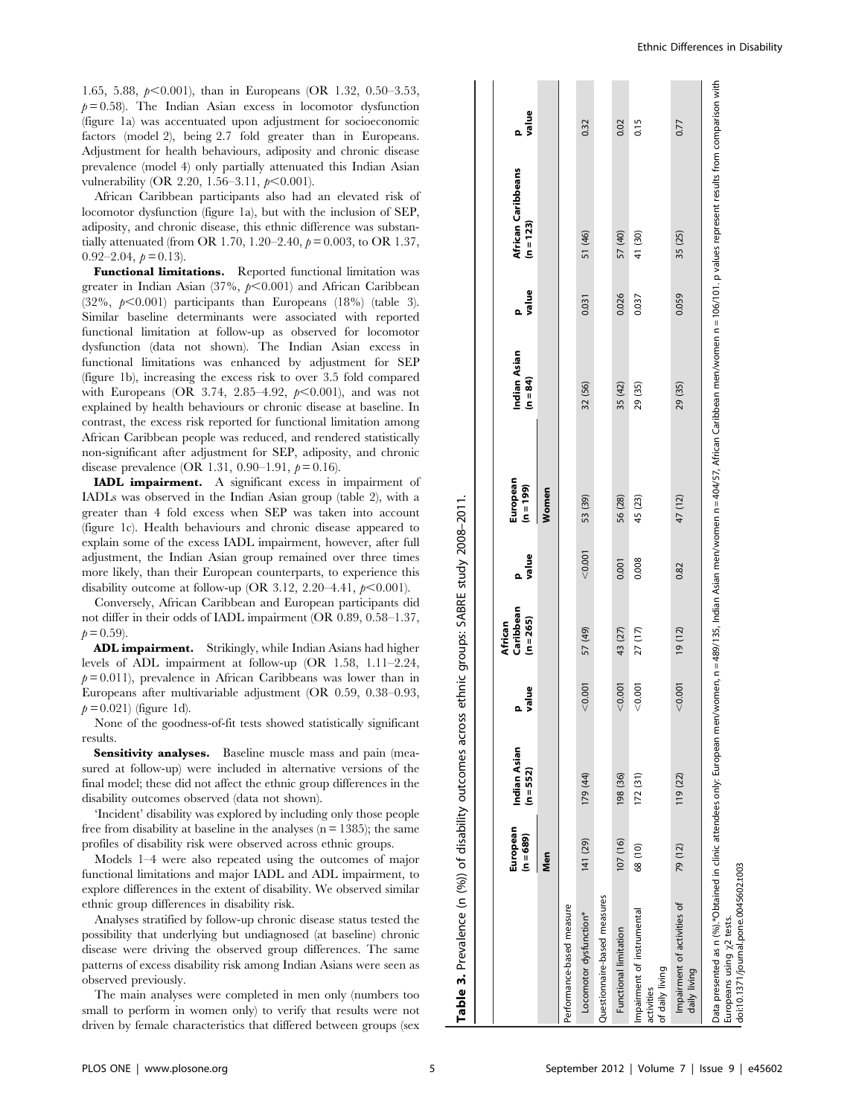1.65, 5.88,  $p<0.001$ ), than in Europeans (OR 1.32, 0.50–3.53,  $p = 0.58$ ). The Indian Asian excess in locomotor dysfunction (figure 1a) was accentuated upon adjustment for socioeconomic factors (model 2), being 2.7 fold greater than in Europeans. Adjustment for health behaviours, adiposity and chronic disease prevalence (model 4) only partially attenuated this Indian Asian vulnerability (OR 2.20, 1.56–3.11,  $p<0.001$ ).

African Caribbean participants also had an elevated risk of locomotor dysfunction (figure 1a), but with the inclusion of SEP, adiposity, and chronic disease, this ethnic difference was substantially attenuated (from OR 1.70, 1.20–2.40,  $p = 0.003$ , to OR 1.37,  $0.92-2.04, b = 0.13$ .

Functional limitations. Reported functional limitation was greater in Indian Asian (37%,  $p<0.001$ ) and African Caribbean  $(32\%, \cancel{p} < 0.001)$  participants than Europeans  $(18\%)$  (table 3). Similar baseline determinants were associated with reported functional limitation at follow-up as observed for locomotor dysfunction (data not shown). The Indian Asian excess in functional limitations was enhanced by adjustment for SEP (figure 1b), increasing the excess risk to over 3.5 fold compared with Europeans (OR 3.74, 2.85-4.92,  $p<0.001$ ), and was not explained by health behaviours or chronic disease at baseline. In contrast, the excess risk reported for functional limitation among African Caribbean people was reduced, and rendered statistically non-significant after adjustment for SEP, adiposity, and chronic disease prevalence (OR 1.31, 0.90–1.91,  $p = 0.16$ ).

IADL impairment. A significant excess in impairment of IADLs was observed in the Indian Asian group (table 2), with a greater than 4 fold excess when SEP was taken into account (figure 1c). Health behaviours and chronic disease appeared to explain some of the excess IADL impairment, however, after full adjustment, the Indian Asian group remained over three times more likely, than their European counterparts, to experience this disability outcome at follow-up (OR 3.12, 2.20–4.41,  $p<0.001$ ).

Conversely, African Caribbean and European participants did not differ in their odds of IADL impairment (OR 0.89, 0.58–1.37,  $p = 0.59$ ).

ADL impairment. Strikingly, while Indian Asians had higher levels of ADL impairment at follow-up (OR 1.58, 1.11–2.24,  $p = 0.011$ ), prevalence in African Caribbeans was lower than in Europeans after multivariable adjustment (OR 0.59, 0.38–0.93,  $p = 0.021$ ) (figure 1d).

None of the goodness-of-fit tests showed statistically significant results.

Sensitivity analyses. Baseline muscle mass and pain (measured at follow-up) were included in alternative versions of the final model; these did not affect the ethnic group differences in the disability outcomes observed (data not shown).

'Incident' disability was explored by including only those people free from disability at baseline in the analyses  $(n = 1385)$ ; the same profiles of disability risk were observed across ethnic groups.

Models 1–4 were also repeated using the outcomes of major functional limitations and major IADL and ADL impairment, to explore differences in the extent of disability. We observed similar ethnic group differences in disability risk.

Analyses stratified by follow-up chronic disease status tested the possibility that underlying but undiagnosed (at baseline) chronic disease were driving the observed group differences. The same patterns of excess disability risk among Indian Asians were seen as observed previously.

The main analyses were completed in men only (numbers too small to perform in women only) to verify that results were not driven by female characteristics that differed between groups (sex

|                                                                                                                                                                                                                                                                                                | European<br>$(n = 689)$ | Indian Asian<br>$(n = 552)$ | value   | Caribbean<br>$(n = 265)$<br>African | p<br>value | European<br>$(n = 199)$ | Indian Asian<br>$(n = 84)$ | value<br>ء | African Caribbeans<br>$(n = 123)$ | value<br>ء |
|------------------------------------------------------------------------------------------------------------------------------------------------------------------------------------------------------------------------------------------------------------------------------------------------|-------------------------|-----------------------------|---------|-------------------------------------|------------|-------------------------|----------------------------|------------|-----------------------------------|------------|
|                                                                                                                                                                                                                                                                                                | Men                     |                             |         |                                     |            | Women                   |                            |            |                                   |            |
| Performance-based measure                                                                                                                                                                                                                                                                      |                         |                             |         |                                     |            |                         |                            |            |                                   |            |
| Locomotor dysfunction*                                                                                                                                                                                                                                                                         | 141 (29)                | 179 (44)                    | < 0.001 | 57 (49)                             | < 0.001    | 53 (39)                 | 32 (56)                    | 0.031      | 51 (46)                           | 0.32       |
| Questionnaire-based measures                                                                                                                                                                                                                                                                   |                         |                             |         |                                     |            |                         |                            |            |                                   |            |
| Functional limitation                                                                                                                                                                                                                                                                          | 107 (16)                | 198 (36)                    | < 0.001 | 43 (27)                             | 0.001      | 56 (28)                 | 35 (42)                    | 0.026      | 57 (40)                           | 0.02       |
| Impairment of instrumental<br>of daily living<br>activities                                                                                                                                                                                                                                    | 68 (10)                 | 172(31)                     | < 0.001 | 27 (17)                             | 0.008      | 45 (23)                 | 29 (35)                    | 0.037      | 41 (30)                           | 0.15       |
| Impairment of activities of<br>daily living                                                                                                                                                                                                                                                    | 79 (12)                 | 119 (22)                    | < 0.001 | 19 (12)                             | 0.82       | 47 (12)                 | 29 (35)                    | 0.059      | 35 (25)                           | 0.77       |
| Data presented as n (%).*Obtained in clinic attendees only. European men/women, n=489/135, Indian Asian men/women n=404/57, African Caribbean men/women n=106/101. p values represent results from comparison with<br>doi:10.1371/journal.pone.0045602.t003<br>Europeans using $\chi$ 2 tests. |                         |                             |         |                                     |            |                         |                            |            |                                   |            |

Table 3. Prevalence (n (%)) of disability outcomes across ethnic groups: SABRE study 2008–2011.

 $\epsilon$ 

3. Prevalence

Table:

(%)) of disability outcomes across ethnic groups: SABRE study 2008-2011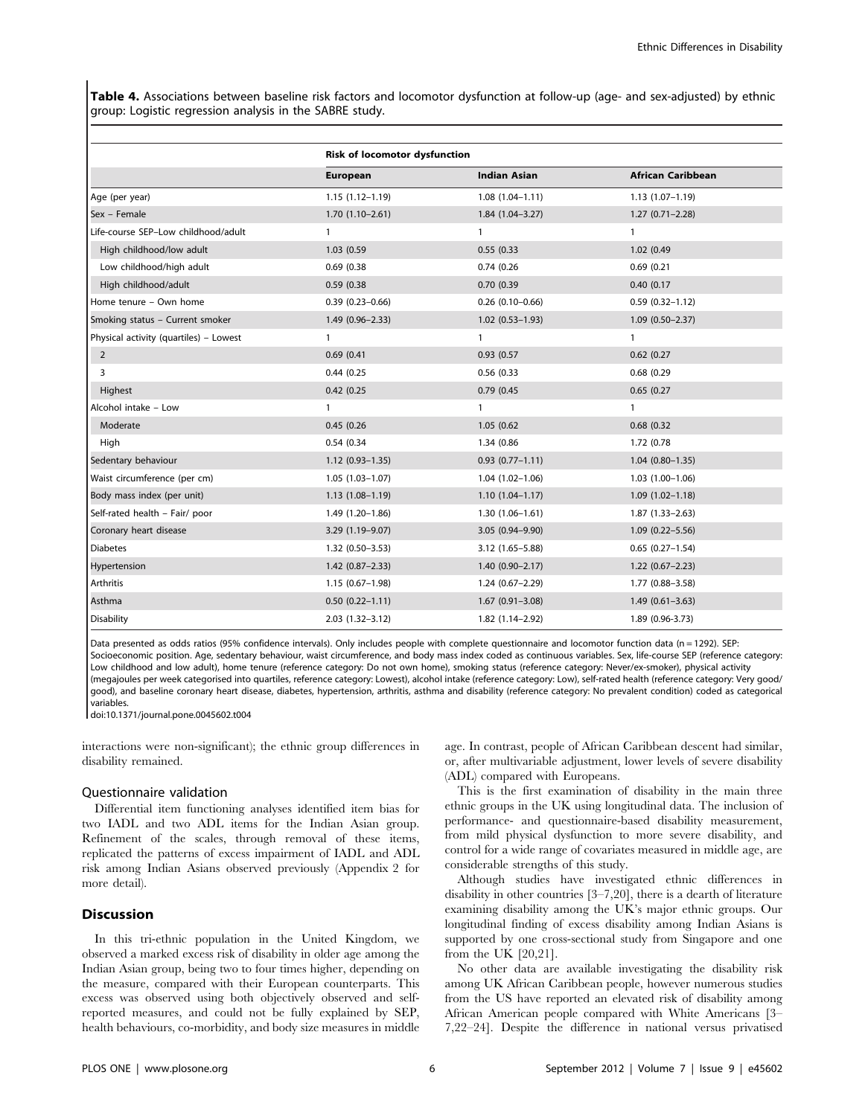Table 4. Associations between baseline risk factors and locomotor dysfunction at follow-up (age- and sex-adjusted) by ethnic group: Logistic regression analysis in the SABRE study.

|                                        | <b>Risk of locomotor dysfunction</b> |                     |                          |
|----------------------------------------|--------------------------------------|---------------------|--------------------------|
|                                        | European                             | <b>Indian Asian</b> | <b>African Caribbean</b> |
| Age (per year)                         | $1.15(1.12 - 1.19)$                  | $1.08(1.04 - 1.11)$ | $1.13(1.07 - 1.19)$      |
| Sex - Female                           | $1.70(1.10-2.61)$                    | $1.84(1.04 - 3.27)$ | $1.27(0.71 - 2.28)$      |
| Life-course SEP-Low childhood/adult    | $\mathbf{1}$                         | $\mathbf{1}$        | $\mathbf{1}$             |
| High childhood/low adult               | 1.03 (0.59                           | 0.55(0.33)          | 1.02 (0.49               |
| Low childhood/high adult               | 0.69(0.38)                           | 0.74(0.26)          | 0.69(0.21)               |
| High childhood/adult                   | 0.59(0.38)                           | 0.70 (0.39          | 0.40(0.17)               |
| Home tenure - Own home                 | $0.39(0.23 - 0.66)$                  | $0.26(0.10-0.66)$   | $0.59(0.32 - 1.12)$      |
| Smoking status - Current smoker        | $1.49(0.96 - 2.33)$                  | $1.02(0.53 - 1.93)$ | $1.09(0.50 - 2.37)$      |
| Physical activity (quartiles) - Lowest | 1                                    | $\mathbf{1}$        | $\mathbf{1}$             |
| $\overline{2}$                         | 0.69(0.41)                           | 0.93(0.57)          | 0.62(0.27)               |
| 3                                      | 0.44(0.25)                           | 0.56(0.33)          | 0.68(0.29)               |
| Highest                                | 0.42(0.25)                           | 0.79(0.45)          | 0.65(0.27)               |
| Alcohol intake - Low                   | $\mathbf{1}$                         | $\mathbf{1}$        | $\mathbf{1}$             |
| Moderate                               | 0.45(0.26)                           | 1.05(0.62)          | 0.68(0.32)               |
| High                                   | 0.54 (0.34                           | 1.34 (0.86          | 1.72 (0.78               |
| Sedentary behaviour                    | $1.12(0.93 - 1.35)$                  | $0.93(0.77 - 1.11)$ | $1.04(0.80 - 1.35)$      |
| Waist circumference (per cm)           | $1.05(1.03-1.07)$                    | $1.04(1.02 - 1.06)$ | $1.03(1.00-1.06)$        |
| Body mass index (per unit)             | $1.13(1.08-1.19)$                    | $1.10(1.04 - 1.17)$ | $1.09(1.02 - 1.18)$      |
| Self-rated health - Fair/ poor         | $1.49(1.20-1.86)$                    | $1.30(1.06 - 1.61)$ | $1.87(1.33 - 2.63)$      |
| Coronary heart disease                 | 3.29 (1.19-9.07)                     | 3.05 (0.94-9.90)    | $1.09(0.22 - 5.56)$      |
| <b>Diabetes</b>                        | $1.32(0.50 - 3.53)$                  | 3.12 (1.65-5.88)    | $0.65(0.27-1.54)$        |
| Hypertension                           | $1.42(0.87 - 2.33)$                  | $1.40(0.90 - 2.17)$ | $1.22(0.67 - 2.23)$      |
| Arthritis                              | $1.15(0.67-1.98)$                    | $1.24(0.67 - 2.29)$ | 1.77 (0.88-3.58)         |
| Asthma                                 | $0.50(0.22 - 1.11)$                  | $1.67(0.91 - 3.08)$ | $1.49(0.61 - 3.63)$      |
| <b>Disability</b>                      | $2.03(1.32 - 3.12)$                  | 1.82 (1.14-2.92)    | 1.89 (0.96-3.73)         |

Data presented as odds ratios (95% confidence intervals). Only includes people with complete questionnaire and locomotor function data (n = 1292). SEP: Socioeconomic position. Age, sedentary behaviour, waist circumference, and body mass index coded as continuous variables. Sex, life-course SEP (reference category: Low childhood and low adult), home tenure (reference category: Do not own home), smoking status (reference category: Never/ex-smoker), physical activity (megajoules per week categorised into quartiles, reference category: Lowest), alcohol intake (reference category: Low), self-rated health (reference category: Very good/ good), and baseline coronary heart disease, diabetes, hypertension, arthritis, asthma and disability (reference category: No prevalent condition) coded as categorical variables.

doi:10.1371/journal.pone.0045602.t004

interactions were non-significant); the ethnic group differences in disability remained.

#### Questionnaire validation

Differential item functioning analyses identified item bias for two IADL and two ADL items for the Indian Asian group. Refinement of the scales, through removal of these items, replicated the patterns of excess impairment of IADL and ADL risk among Indian Asians observed previously (Appendix 2 for more detail).

## **Discussion**

In this tri-ethnic population in the United Kingdom, we observed a marked excess risk of disability in older age among the Indian Asian group, being two to four times higher, depending on the measure, compared with their European counterparts. This excess was observed using both objectively observed and selfreported measures, and could not be fully explained by SEP, health behaviours, co-morbidity, and body size measures in middle

age. In contrast, people of African Caribbean descent had similar, or, after multivariable adjustment, lower levels of severe disability (ADL) compared with Europeans.

This is the first examination of disability in the main three ethnic groups in the UK using longitudinal data. The inclusion of performance- and questionnaire-based disability measurement, from mild physical dysfunction to more severe disability, and control for a wide range of covariates measured in middle age, are considerable strengths of this study.

Although studies have investigated ethnic differences in disability in other countries [3–7,20], there is a dearth of literature examining disability among the UK's major ethnic groups. Our longitudinal finding of excess disability among Indian Asians is supported by one cross-sectional study from Singapore and one from the UK [20,21].

No other data are available investigating the disability risk among UK African Caribbean people, however numerous studies from the US have reported an elevated risk of disability among African American people compared with White Americans [3– 7,22–24]. Despite the difference in national versus privatised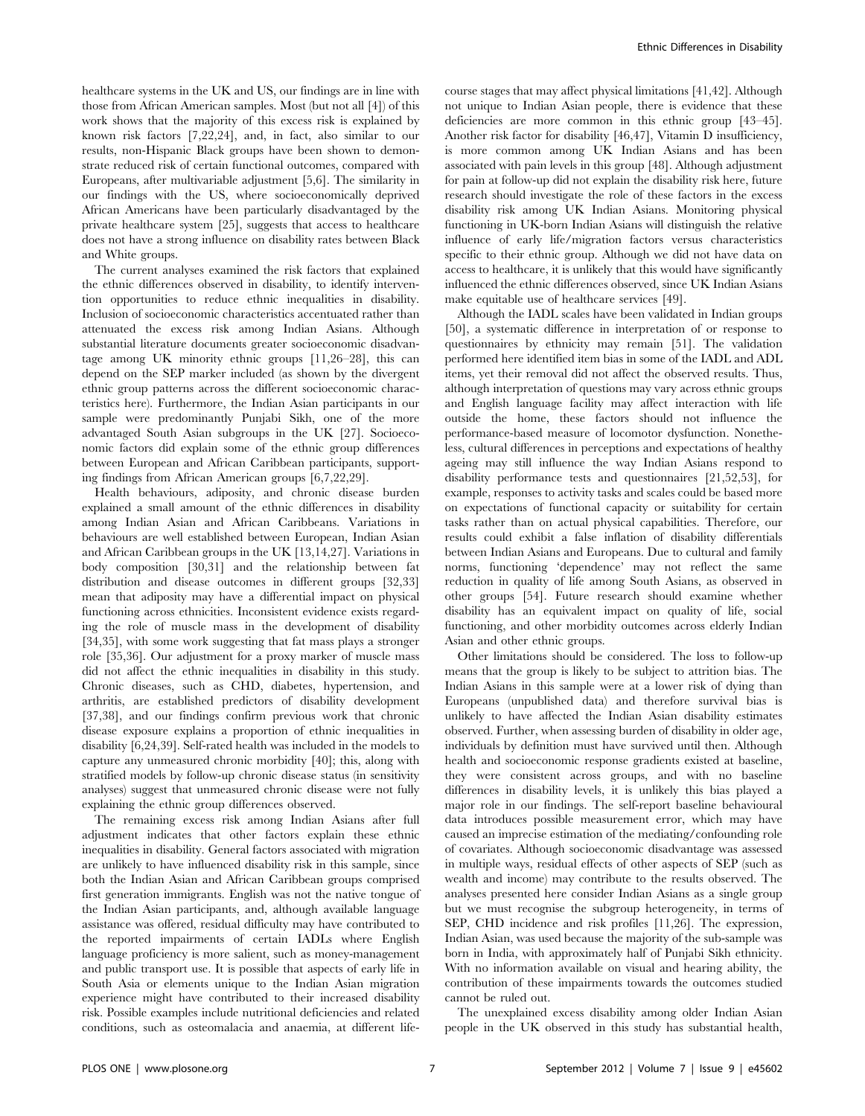healthcare systems in the UK and US, our findings are in line with those from African American samples. Most (but not all [4]) of this work shows that the majority of this excess risk is explained by known risk factors [7,22,24], and, in fact, also similar to our results, non-Hispanic Black groups have been shown to demonstrate reduced risk of certain functional outcomes, compared with Europeans, after multivariable adjustment [5,6]. The similarity in our findings with the US, where socioeconomically deprived African Americans have been particularly disadvantaged by the private healthcare system [25], suggests that access to healthcare does not have a strong influence on disability rates between Black and White groups.

The current analyses examined the risk factors that explained the ethnic differences observed in disability, to identify intervention opportunities to reduce ethnic inequalities in disability. Inclusion of socioeconomic characteristics accentuated rather than attenuated the excess risk among Indian Asians. Although substantial literature documents greater socioeconomic disadvantage among UK minority ethnic groups [11,26–28], this can depend on the SEP marker included (as shown by the divergent ethnic group patterns across the different socioeconomic characteristics here). Furthermore, the Indian Asian participants in our sample were predominantly Punjabi Sikh, one of the more advantaged South Asian subgroups in the UK [27]. Socioeconomic factors did explain some of the ethnic group differences between European and African Caribbean participants, supporting findings from African American groups [6,7,22,29].

Health behaviours, adiposity, and chronic disease burden explained a small amount of the ethnic differences in disability among Indian Asian and African Caribbeans. Variations in behaviours are well established between European, Indian Asian and African Caribbean groups in the UK [13,14,27]. Variations in body composition [30,31] and the relationship between fat distribution and disease outcomes in different groups [32,33] mean that adiposity may have a differential impact on physical functioning across ethnicities. Inconsistent evidence exists regarding the role of muscle mass in the development of disability [34,35], with some work suggesting that fat mass plays a stronger role [35,36]. Our adjustment for a proxy marker of muscle mass did not affect the ethnic inequalities in disability in this study. Chronic diseases, such as CHD, diabetes, hypertension, and arthritis, are established predictors of disability development [37,38], and our findings confirm previous work that chronic disease exposure explains a proportion of ethnic inequalities in disability [6,24,39]. Self-rated health was included in the models to capture any unmeasured chronic morbidity [40]; this, along with stratified models by follow-up chronic disease status (in sensitivity analyses) suggest that unmeasured chronic disease were not fully explaining the ethnic group differences observed.

The remaining excess risk among Indian Asians after full adjustment indicates that other factors explain these ethnic inequalities in disability. General factors associated with migration are unlikely to have influenced disability risk in this sample, since both the Indian Asian and African Caribbean groups comprised first generation immigrants. English was not the native tongue of the Indian Asian participants, and, although available language assistance was offered, residual difficulty may have contributed to the reported impairments of certain IADLs where English language proficiency is more salient, such as money-management and public transport use. It is possible that aspects of early life in South Asia or elements unique to the Indian Asian migration experience might have contributed to their increased disability risk. Possible examples include nutritional deficiencies and related conditions, such as osteomalacia and anaemia, at different lifecourse stages that may affect physical limitations [41,42]. Although not unique to Indian Asian people, there is evidence that these deficiencies are more common in this ethnic group [43–45]. Another risk factor for disability [46,47], Vitamin D insufficiency, is more common among UK Indian Asians and has been associated with pain levels in this group [48]. Although adjustment for pain at follow-up did not explain the disability risk here, future research should investigate the role of these factors in the excess disability risk among UK Indian Asians. Monitoring physical functioning in UK-born Indian Asians will distinguish the relative influence of early life/migration factors versus characteristics specific to their ethnic group. Although we did not have data on access to healthcare, it is unlikely that this would have significantly influenced the ethnic differences observed, since UK Indian Asians make equitable use of healthcare services [49].

Although the IADL scales have been validated in Indian groups [50], a systematic difference in interpretation of or response to questionnaires by ethnicity may remain [51]. The validation performed here identified item bias in some of the IADL and ADL items, yet their removal did not affect the observed results. Thus, although interpretation of questions may vary across ethnic groups and English language facility may affect interaction with life outside the home, these factors should not influence the performance-based measure of locomotor dysfunction. Nonetheless, cultural differences in perceptions and expectations of healthy ageing may still influence the way Indian Asians respond to disability performance tests and questionnaires [21,52,53], for example, responses to activity tasks and scales could be based more on expectations of functional capacity or suitability for certain tasks rather than on actual physical capabilities. Therefore, our results could exhibit a false inflation of disability differentials between Indian Asians and Europeans. Due to cultural and family norms, functioning 'dependence' may not reflect the same reduction in quality of life among South Asians, as observed in other groups [54]. Future research should examine whether disability has an equivalent impact on quality of life, social functioning, and other morbidity outcomes across elderly Indian Asian and other ethnic groups.

Other limitations should be considered. The loss to follow-up means that the group is likely to be subject to attrition bias. The Indian Asians in this sample were at a lower risk of dying than Europeans (unpublished data) and therefore survival bias is unlikely to have affected the Indian Asian disability estimates observed. Further, when assessing burden of disability in older age, individuals by definition must have survived until then. Although health and socioeconomic response gradients existed at baseline, they were consistent across groups, and with no baseline differences in disability levels, it is unlikely this bias played a major role in our findings. The self-report baseline behavioural data introduces possible measurement error, which may have caused an imprecise estimation of the mediating/confounding role of covariates. Although socioeconomic disadvantage was assessed in multiple ways, residual effects of other aspects of SEP (such as wealth and income) may contribute to the results observed. The analyses presented here consider Indian Asians as a single group but we must recognise the subgroup heterogeneity, in terms of SEP, CHD incidence and risk profiles [11,26]. The expression, Indian Asian, was used because the majority of the sub-sample was born in India, with approximately half of Punjabi Sikh ethnicity. With no information available on visual and hearing ability, the contribution of these impairments towards the outcomes studied cannot be ruled out.

The unexplained excess disability among older Indian Asian people in the UK observed in this study has substantial health,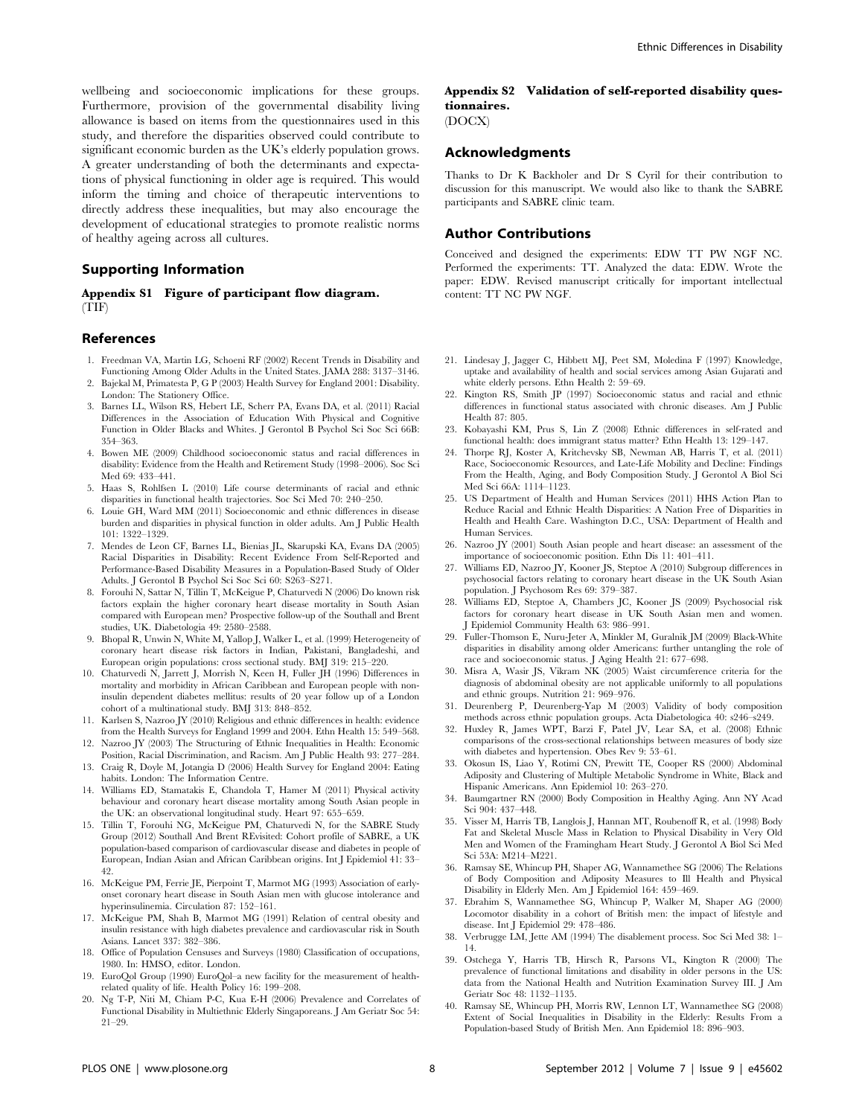wellbeing and socioeconomic implications for these groups. Furthermore, provision of the governmental disability living allowance is based on items from the questionnaires used in this study, and therefore the disparities observed could contribute to significant economic burden as the UK's elderly population grows. A greater understanding of both the determinants and expectations of physical functioning in older age is required. This would inform the timing and choice of therapeutic interventions to directly address these inequalities, but may also encourage the development of educational strategies to promote realistic norms of healthy ageing across all cultures.

### Supporting Information

#### Appendix S1 Figure of participant flow diagram. (TIF)

#### References

- 1. Freedman VA, Martin LG, Schoeni RF (2002) Recent Trends in Disability and Functioning Among Older Adults in the United States. JAMA 288: 3137–3146.
- 2. Bajekal M, Primatesta P, G P (2003) Health Survey for England 2001: Disability. London: The Stationery Office.
- 3. Barnes LL, Wilson RS, Hebert LE, Scherr PA, Evans DA, et al. (2011) Racial Differences in the Association of Education With Physical and Cognitive Function in Older Blacks and Whites. J Gerontol B Psychol Sci Soc Sci 66B: 354–363.
- 4. Bowen ME (2009) Childhood socioeconomic status and racial differences in disability: Evidence from the Health and Retirement Study (1998–2006). Soc Sci Med 69: 433–441.
- 5. Haas S, Rohlfsen L (2010) Life course determinants of racial and ethnic disparities in functional health trajectories. Soc Sci Med 70: 240–250.
- 6. Louie GH, Ward MM (2011) Socioeconomic and ethnic differences in disease burden and disparities in physical function in older adults. Am J Public Health 101: 1322–1329.
- 7. Mendes de Leon CF, Barnes LL, Bienias JL, Skarupski KA, Evans DA (2005) Racial Disparities in Disability: Recent Evidence From Self-Reported and Performance-Based Disability Measures in a Population-Based Study of Older Adults. J Gerontol B Psychol Sci Soc Sci 60: S263–S271.
- 8. Forouhi N, Sattar N, Tillin T, McKeigue P, Chaturvedi N (2006) Do known risk factors explain the higher coronary heart disease mortality in South Asian compared with European men? Prospective follow-up of the Southall and Brent studies, UK. Diabetologia 49: 2580–2588.
- 9. Bhopal R, Unwin N, White M, Yallop J, Walker L, et al. (1999) Heterogeneity of coronary heart disease risk factors in Indian, Pakistani, Bangladeshi, and European origin populations: cross sectional study. BMJ 319: 215–220.
- 10. Chaturvedi N, Jarrett J, Morrish N, Keen H, Fuller JH (1996) Differences in mortality and morbidity in African Caribbean and European people with noninsulin dependent diabetes mellitus: results of 20 year follow up of a London cohort of a multinational study. BMJ 313: 848–852.
- 11. Karlsen S, Nazroo JY (2010) Religious and ethnic differences in health: evidence from the Health Surveys for England 1999 and 2004. Ethn Health 15: 549–568.
- 12. Nazroo JY (2003) The Structuring of Ethnic Inequalities in Health: Economic Position, Racial Discrimination, and Racism. Am J Public Health 93: 277–284. 13. Craig R, Doyle M, Jotangia D (2006) Health Survey for England 2004: Eating
- habits. London: The Information Centre.
- 14. Williams ED, Stamatakis E, Chandola T, Hamer M (2011) Physical activity behaviour and coronary heart disease mortality among South Asian people in the UK: an observational longitudinal study. Heart 97: 655–659.
- 15. Tillin T, Forouhi NG, McKeigue PM, Chaturvedi N, for the SABRE Study Group (2012) Southall And Brent REvisited: Cohort profile of SABRE, a UK population-based comparison of cardiovascular disease and diabetes in people of European, Indian Asian and African Caribbean origins. Int J Epidemiol 41: 33– 42.
- 16. McKeigue PM, Ferrie JE, Pierpoint T, Marmot MG (1993) Association of earlyonset coronary heart disease in South Asian men with glucose intolerance and hyperinsulinemia. Circulation 87: 152–161.
- 17. McKeigue PM, Shah B, Marmot MG (1991) Relation of central obesity and insulin resistance with high diabetes prevalence and cardiovascular risk in South Asians. Lancet 337: 382–386.
- 18. Office of Population Censuses and Surveys (1980) Classification of occupations, 1980. In: HMSO, editor. London.
- 19. EuroQol Group (1990) EuroQol–a new facility for the measurement of healthrelated quality of life. Health Policy 16: 199–208.
- 20. Ng T-P, Niti M, Chiam P-C, Kua E-H (2006) Prevalence and Correlates of Functional Disability in Multiethnic Elderly Singaporeans. J Am Geriatr Soc 54: 21–29.

## Appendix S2 Validation of self-reported disability questionnaires.

(DOCX)

#### Acknowledgments

Thanks to Dr K Backholer and Dr S Cyril for their contribution to discussion for this manuscript. We would also like to thank the SABRE participants and SABRE clinic team.

#### Author Contributions

Conceived and designed the experiments: EDW TT PW NGF NC. Performed the experiments: TT. Analyzed the data: EDW. Wrote the paper: EDW. Revised manuscript critically for important intellectual content: TT NC PW NGF.

- 21. Lindesay J, Jagger C, Hibbett MJ, Peet SM, Moledina F (1997) Knowledge, uptake and availability of health and social services among Asian Gujarati and white elderly persons. Ethn Health 2: 59–69.
- 22. Kington RS, Smith JP (1997) Socioeconomic status and racial and ethnic differences in functional status associated with chronic diseases. Am J Public Health 87: 805.
- 23. Kobayashi KM, Prus S, Lin Z (2008) Ethnic differences in self-rated and functional health: does immigrant status matter? Ethn Health 13: 129–147.
- 24. Thorpe RJ, Koster A, Kritchevsky SB, Newman AB, Harris T, et al. (2011) Race, Socioeconomic Resources, and Late-Life Mobility and Decline: Findings From the Health, Aging, and Body Composition Study. J Gerontol A Biol Sci Med Sci 66A: 1114–1123.
- 25. US Department of Health and Human Services (2011) HHS Action Plan to Reduce Racial and Ethnic Health Disparities: A Nation Free of Disparities in Health and Health Care. Washington D.C., USA: Department of Health and Human Services.
- 26. Nazroo JY (2001) South Asian people and heart disease: an assessment of the importance of socioeconomic position. Ethn Dis 11: 401–411.
- 27. Williams ED, Nazroo JY, Kooner JS, Steptoe A (2010) Subgroup differences in psychosocial factors relating to coronary heart disease in the UK South Asian population. J Psychosom Res 69: 379–387.
- 28. Williams ED, Steptoe A, Chambers JC, Kooner JS (2009) Psychosocial risk factors for coronary heart disease in UK South Asian men and women. J Epidemiol Community Health 63: 986–991.
- 29. Fuller-Thomson E, Nuru-Jeter A, Minkler M, Guralnik JM (2009) Black-White disparities in disability among older Americans: further untangling the role of race and socioeconomic status. J Aging Health 21: 677–698.
- 30. Misra A, Wasir JS, Vikram NK (2005) Waist circumference criteria for the diagnosis of abdominal obesity are not applicable uniformly to all populations and ethnic groups. Nutrition 21: 969–976.
- 31. Deurenberg P, Deurenberg-Yap M (2003) Validity of body composition methods across ethnic population groups. Acta Diabetologica 40: s246–s249.
- 32. Huxley R, James WPT, Barzi F, Patel JV, Lear SA, et al. (2008) Ethnic comparisons of the cross-sectional relationships between measures of body size with diabetes and hypertension. Obes Rev 9: 53-61.
- 33. Okosun IS, Liao Y, Rotimi CN, Prewitt TE, Cooper RS (2000) Abdominal Adiposity and Clustering of Multiple Metabolic Syndrome in White, Black and Hispanic Americans. Ann Epidemiol 10: 263–270.
- 34. Baumgartner RN (2000) Body Composition in Healthy Aging. Ann NY Acad Sci 904: 437–448.
- 35. Visser M, Harris TB, Langlois J, Hannan MT, Roubenoff R, et al. (1998) Body Fat and Skeletal Muscle Mass in Relation to Physical Disability in Very Old Men and Women of the Framingham Heart Study. J Gerontol A Biol Sci Med Sci 53A: M214–M221.
- 36. Ramsay SE, Whincup PH, Shaper AG, Wannamethee SG (2006) The Relations of Body Composition and Adiposity Measures to Ill Health and Physical Disability in Elderly Men. Am J Epidemiol 164: 459–469.
- 37. Ebrahim S, Wannamethee SG, Whincup P, Walker M, Shaper AG (2000) Locomotor disability in a cohort of British men: the impact of lifestyle and disease. Int J Epidemiol 29: 478–486.
- 38. Verbrugge LM, Jette AM (1994) The disablement process. Soc Sci Med 38: 1– 14.
- 39. Ostchega Y, Harris TB, Hirsch R, Parsons VL, Kington R (2000) The prevalence of functional limitations and disability in older persons in the US: data from the National Health and Nutrition Examination Survey III. J Am Geriatr Soc 48: 1132–1135.
- 40. Ramsay SE, Whincup PH, Morris RW, Lennon LT, Wannamethee SG (2008) Extent of Social Inequalities in Disability in the Elderly: Results From a Population-based Study of British Men. Ann Epidemiol 18: 896–903.